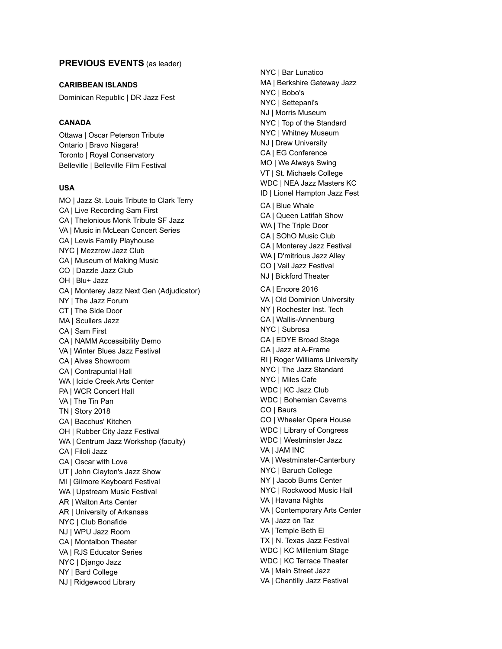# **PREVIOUS EVENTS** (as leader)

#### **CARIBBEAN ISLANDS**

Dominican Republic | DR Jazz Fest

## **CANADA**

Ottawa | Oscar Peterson Tribute Ontario | Bravo Niagara! Toronto | Royal Conservatory Belleville | Belleville Film Festival

#### **USA**

MO | Jazz St. Louis Tribute to Clark Terry CA | Live Recording Sam First CA | Thelonious Monk Tribute SF Jazz VA | Music in McLean Concert Series CA | Lewis Family Playhouse NYC | Mezzrow Jazz Club CA | Museum of Making Music CO | Dazzle Jazz Club OH | Blu+ Jazz CA | Monterey Jazz Next Gen (Adjudicator) NY | The Jazz Forum CT | The Side Door MA | Scullers Jazz CA | Sam First CA | NAMM Accessibility Demo VA | Winter Blues Jazz Festival CA | Alvas Showroom CA | Contrapuntal Hall WA | Icicle Creek Arts Center PA | WCR Concert Hall VA | The Tin Pan TN | Story 2018 CA | Bacchus' Kitchen OH | Rubber City Jazz Festival WA | Centrum Jazz Workshop (faculty) CA | Filoli Jazz CA | Oscar with Love UT | John Clayton's Jazz Show MI | Gilmore Keyboard Festival WA | Upstream Music Festival AR | Walton Arts Center AR | University of Arkansas NYC | Club Bonafide NJ | WPU Jazz Room CA | Montalbon Theater VA | RJS Educator Series NYC | Django Jazz NY | Bard College NJ | Ridgewood Library

NYC | Bar Lunatico MA | Berkshire Gateway Jazz NYC | Bobo's NYC | Settepani's NJ | Morris Museum NYC | Top of the Standard NYC | Whitney Museum NJ | Drew University CA | EG Conference MO | We Always Swing VT | St. Michaels College WDC | NEA Jazz Masters KC ID | Lionel Hampton Jazz Fest CA | Blue Whale CA | Queen Latifah Show WA | The Triple Door CA | SOhO Music Club CA | Monterey Jazz Festival WA | D'mitrious Jazz Alley CO | Vail Jazz Festival NJ | Bickford Theater CA | Encore 2016 VA | Old Dominion University NY | Rochester Inst. Tech CA | Wallis-Annenburg NYC | Subrosa CA | EDYE Broad Stage CA | Jazz at A-Frame RI | Roger Williams University NYC | The Jazz Standard NYC | Miles Cafe WDC | KC Jazz Club WDC | Bohemian Caverns CO | Baurs CO | Wheeler Opera House WDC | Library of Congress WDC | Westminster Jazz VA | JAM INC VA | Westminster-Canterbury NYC | Baruch College NY | Jacob Burns Center NYC | Rockwood Music Hall VA | Havana Nights VA | Contemporary Arts Center VA | Jazz on Taz VA | Temple Beth El TX | N. Texas Jazz Festival WDC | KC Millenium Stage WDC | KC Terrace Theater VA | Main Street Jazz VA | Chantilly Jazz Festival